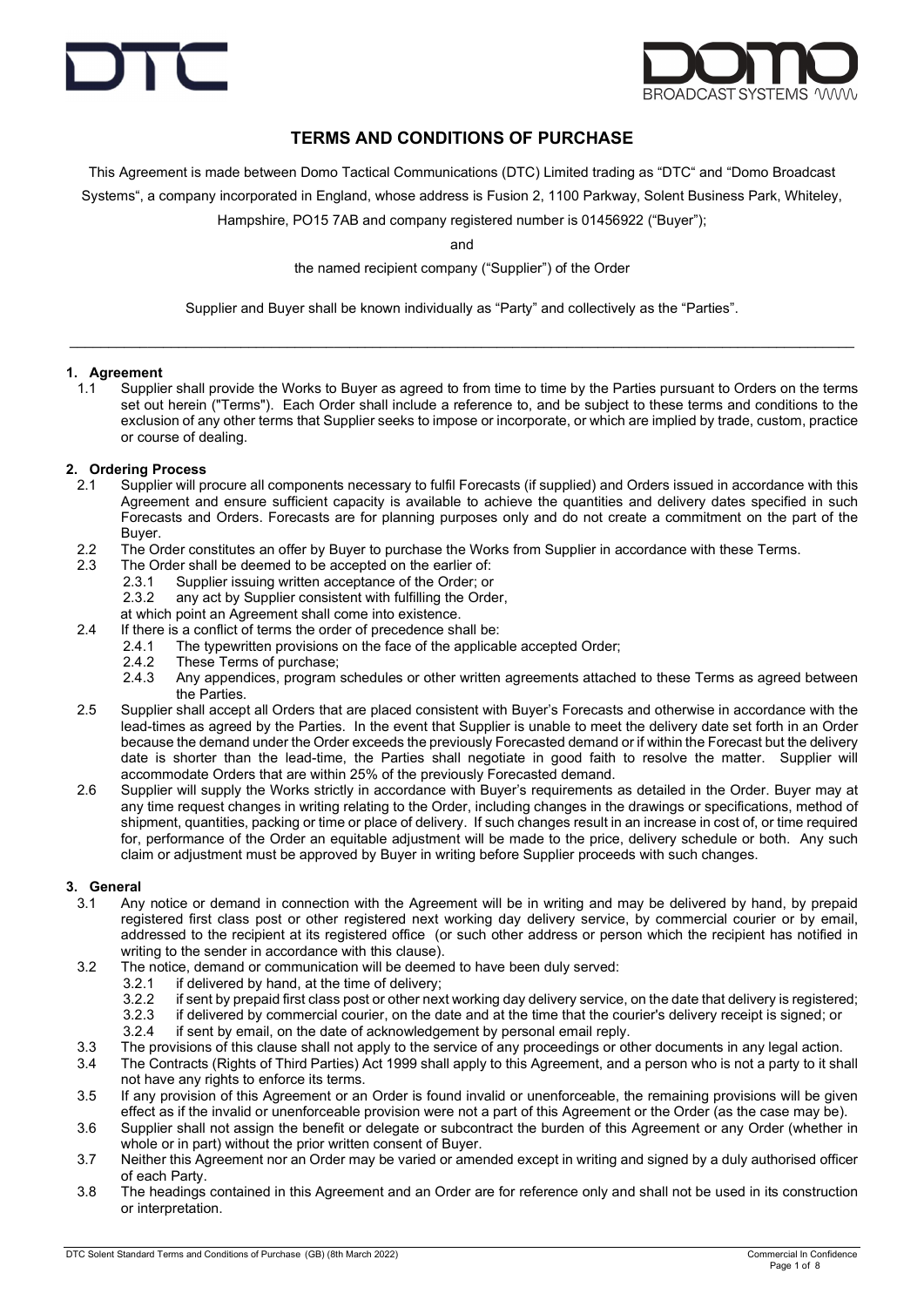



## TERMS AND CONDITIONS OF PURCHASE

This Agreement is made between Domo Tactical Communications (DTC) Limited trading as "DTC" and "Domo Broadcast

Systems", a company incorporated in England, whose address is Fusion 2, 1100 Parkway, Solent Business Park, Whiteley,

Hampshire, PO15 7AB and company registered number is 01456922 ("Buyer");

and

the named recipient company ("Supplier") of the Order

Supplier and Buyer shall be known individually as "Party" and collectively as the "Parties".

 $\_$  , and the set of the set of the set of the set of the set of the set of the set of the set of the set of the set of the set of the set of the set of the set of the set of the set of the set of the set of the set of th

#### 1. Agreement

1.1 Supplier shall provide the Works to Buyer as agreed to from time to time by the Parties pursuant to Orders on the terms set out herein ("Terms"). Each Order shall include a reference to, and be subject to these terms and conditions to the exclusion of any other terms that Supplier seeks to impose or incorporate, or which are implied by trade, custom, practice or course of dealing.

#### 2. Ordering Process

- 2.1 Supplier will procure all components necessary to fulfil Forecasts (if supplied) and Orders issued in accordance with this Agreement and ensure sufficient capacity is available to achieve the quantities and delivery dates specified in such Forecasts and Orders. Forecasts are for planning purposes only and do not create a commitment on the part of the Buyer.
- 2.2 The Order constitutes an offer by Buyer to purchase the Works from Supplier in accordance with these Terms.
- 2.3 The Order shall be deemed to be accepted on the earlier of:
	- 2.3.1 Supplier issuing written acceptance of the Order; or
	- 2.3.2 any act by Supplier consistent with fulfilling the Order,
	- at which point an Agreement shall come into existence.
- 2.4 If there is a conflict of terms the order of precedence shall be:
	- 2.4.1 The typewritten provisions on the face of the applicable accepted Order;
	- 2.4.2 These Terms of purchase;<br>2.4.3 Any appendices, program
	- 2.4.3 Any appendices, program schedules or other written agreements attached to these Terms as agreed between the Parties.
- 2.5 Supplier shall accept all Orders that are placed consistent with Buyer's Forecasts and otherwise in accordance with the lead-times as agreed by the Parties. In the event that Supplier is unable to meet the delivery date set forth in an Order because the demand under the Order exceeds the previously Forecasted demand or if within the Forecast but the delivery date is shorter than the lead-time, the Parties shall negotiate in good faith to resolve the matter. Supplier will accommodate Orders that are within 25% of the previously Forecasted demand.
- 2.6 Supplier will supply the Works strictly in accordance with Buyer's requirements as detailed in the Order. Buyer may at any time request changes in writing relating to the Order, including changes in the drawings or specifications, method of shipment, quantities, packing or time or place of delivery. If such changes result in an increase in cost of, or time required for, performance of the Order an equitable adjustment will be made to the price, delivery schedule or both. Any such claim or adjustment must be approved by Buyer in writing before Supplier proceeds with such changes.

#### 3. General

- 3.1 Any notice or demand in connection with the Agreement will be in writing and may be delivered by hand, by prepaid registered first class post or other registered next working day delivery service, by commercial courier or by email, addressed to the recipient at its registered office (or such other address or person which the recipient has notified in writing to the sender in accordance with this clause).
- 3.2 The notice, demand or communication will be deemed to have been duly served:
	- 3.2.1 if delivered by hand, at the time of delivery;
	- 3.2.2 if sent by prepaid first class post or other next working day delivery service, on the date that delivery is registered;<br>3.2.3 if delivered by commercial courier, on the date and at the time that the courier's delive
	- if delivered by commercial courier, on the date and at the time that the courier's delivery receipt is signed; or
	- 3.2.4 if sent by email, on the date of acknowledgement by personal email reply.
- 3.3 The provisions of this clause shall not apply to the service of any proceedings or other documents in any legal action.
- 3.4 The Contracts (Rights of Third Parties) Act 1999 shall apply to this Agreement, and a person who is not a party to it shall not have any rights to enforce its terms.
- 3.5 If any provision of this Agreement or an Order is found invalid or unenforceable, the remaining provisions will be given effect as if the invalid or unenforceable provision were not a part of this Agreement or the Order (as the case may be).
- 3.6 Supplier shall not assign the benefit or delegate or subcontract the burden of this Agreement or any Order (whether in whole or in part) without the prior written consent of Buyer.
- 3.7 Neither this Agreement nor an Order may be varied or amended except in writing and signed by a duly authorised officer of each Party.
- 3.8 The headings contained in this Agreement and an Order are for reference only and shall not be used in its construction or interpretation.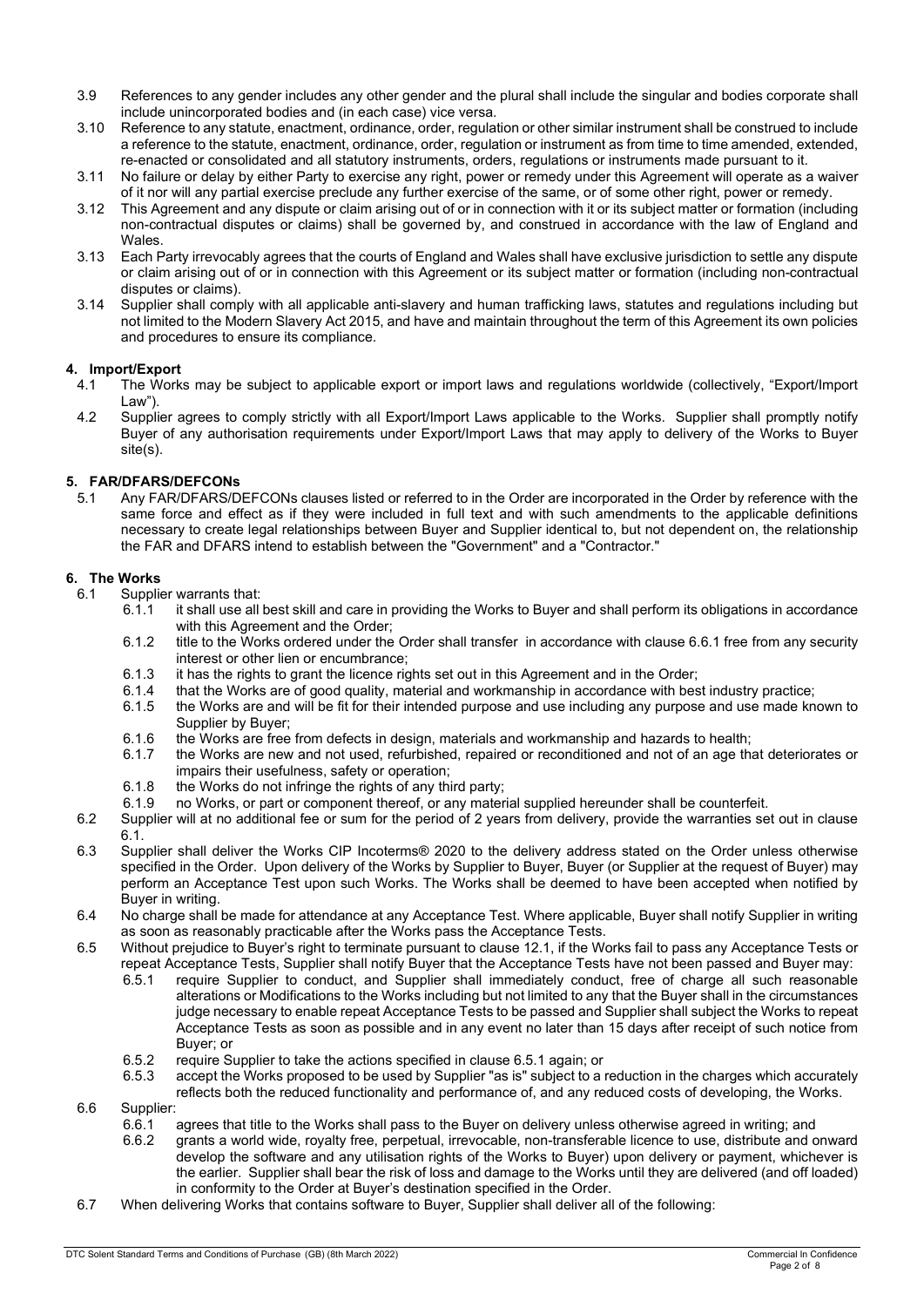- 3.9 References to any gender includes any other gender and the plural shall include the singular and bodies corporate shall include unincorporated bodies and (in each case) vice versa.
- 3.10 Reference to any statute, enactment, ordinance, order, regulation or other similar instrument shall be construed to include a reference to the statute, enactment, ordinance, order, regulation or instrument as from time to time amended, extended, re-enacted or consolidated and all statutory instruments, orders, regulations or instruments made pursuant to it.
- 3.11 No failure or delay by either Party to exercise any right, power or remedy under this Agreement will operate as a waiver of it nor will any partial exercise preclude any further exercise of the same, or of some other right, power or remedy.
- 3.12 This Agreement and any dispute or claim arising out of or in connection with it or its subject matter or formation (including non-contractual disputes or claims) shall be governed by, and construed in accordance with the law of England and Wales.
- 3.13 Each Party irrevocably agrees that the courts of England and Wales shall have exclusive jurisdiction to settle any dispute or claim arising out of or in connection with this Agreement or its subject matter or formation (including non-contractual disputes or claims).
- 3.14 Supplier shall comply with all applicable anti-slavery and human trafficking laws, statutes and regulations including but not limited to the Modern Slavery Act 2015, and have and maintain throughout the term of this Agreement its own policies and procedures to ensure its compliance.

## 4. Import/Export

- 4.1 The Works may be subject to applicable export or import laws and regulations worldwide (collectively, "Export/Import Law").
- 4.2 Supplier agrees to comply strictly with all Export/Import Laws applicable to the Works. Supplier shall promptly notify Buyer of any authorisation requirements under Export/Import Laws that may apply to delivery of the Works to Buyer site(s).

## 5. FAR/DFARS/DEFCONs

5.1 Any FAR/DFARS/DEFCONs clauses listed or referred to in the Order are incorporated in the Order by reference with the same force and effect as if they were included in full text and with such amendments to the applicable definitions necessary to create legal relationships between Buyer and Supplier identical to, but not dependent on, the relationship the FAR and DFARS intend to establish between the "Government" and a "Contractor."

## 6. The Works

- 6.1 Supplier warrants that:
	- 6.1.1 it shall use all best skill and care in providing the Works to Buyer and shall perform its obligations in accordance with this Agreement and the Order;
	- 6.1.2 title to the Works ordered under the Order shall transfer in accordance with clause 6.6.1 free from any security interest or other lien or encumbrance;
	- 6.1.3 it has the rights to grant the licence rights set out in this Agreement and in the Order;<br>6.1.4 that the Works are of good quality, material and workmanship in accordance with bes
	- 6.1.4 that the Works are of good quality, material and workmanship in accordance with best industry practice;
	- the Works are and will be fit for their intended purpose and use including any purpose and use made known to Supplier by Buyer;
	- 6.1.6 the Works are free from defects in design, materials and workmanship and hazards to health;<br>6.1.7 the Works are new and not used, refurbished, repaired or reconditioned and not of an age the
	- the Works are new and not used, refurbished, repaired or reconditioned and not of an age that deteriorates or impairs their usefulness, safety or operation;
	- 6.1.8 the Works do not infringe the rights of any third party;
	- 6.1.9 no Works, or part or component thereof, or any material supplied hereunder shall be counterfeit.
- 6.2 Supplier will at no additional fee or sum for the period of 2 years from delivery, provide the warranties set out in clause 6.1.
- 6.3 Supplier shall deliver the Works CIP Incoterms® 2020 to the delivery address stated on the Order unless otherwise specified in the Order. Upon delivery of the Works by Supplier to Buyer, Buyer (or Supplier at the request of Buyer) may perform an Acceptance Test upon such Works. The Works shall be deemed to have been accepted when notified by Buyer in writing.
- 6.4 No charge shall be made for attendance at any Acceptance Test. Where applicable, Buyer shall notify Supplier in writing as soon as reasonably practicable after the Works pass the Acceptance Tests.
- 6.5 Without prejudice to Buyer's right to terminate pursuant to clause 12.1, if the Works fail to pass any Acceptance Tests or repeat Acceptance Tests, Supplier shall notify Buyer that the Acceptance Tests have not been passed and Buyer may:
	- 6.5.1 require Supplier to conduct, and Supplier shall immediately conduct, free of charge all such reasonable alterations or Modifications to the Works including but not limited to any that the Buyer shall in the circumstances judge necessary to enable repeat Acceptance Tests to be passed and Supplier shall subject the Works to repeat Acceptance Tests as soon as possible and in any event no later than 15 days after receipt of such notice from Buyer; or
	- 6.5.2 require Supplier to take the actions specified in clause 6.5.1 again; or 6.5.3 accept the Works proposed to be used by Supplier "as is" subject to a r
	- accept the Works proposed to be used by Supplier "as is" subject to a reduction in the charges which accurately reflects both the reduced functionality and performance of, and any reduced costs of developing, the Works.
- 6.6 Supplier:
	- 6.6.1 agrees that title to the Works shall pass to the Buyer on delivery unless otherwise agreed in writing; and
	- 6.6.2 grants a world wide, royalty free, perpetual, irrevocable, non-transferable licence to use, distribute and onward develop the software and any utilisation rights of the Works to Buyer) upon delivery or payment, whichever is the earlier. Supplier shall bear the risk of loss and damage to the Works until they are delivered (and off loaded) in conformity to the Order at Buyer's destination specified in the Order.
- 6.7 When delivering Works that contains software to Buyer, Supplier shall deliver all of the following: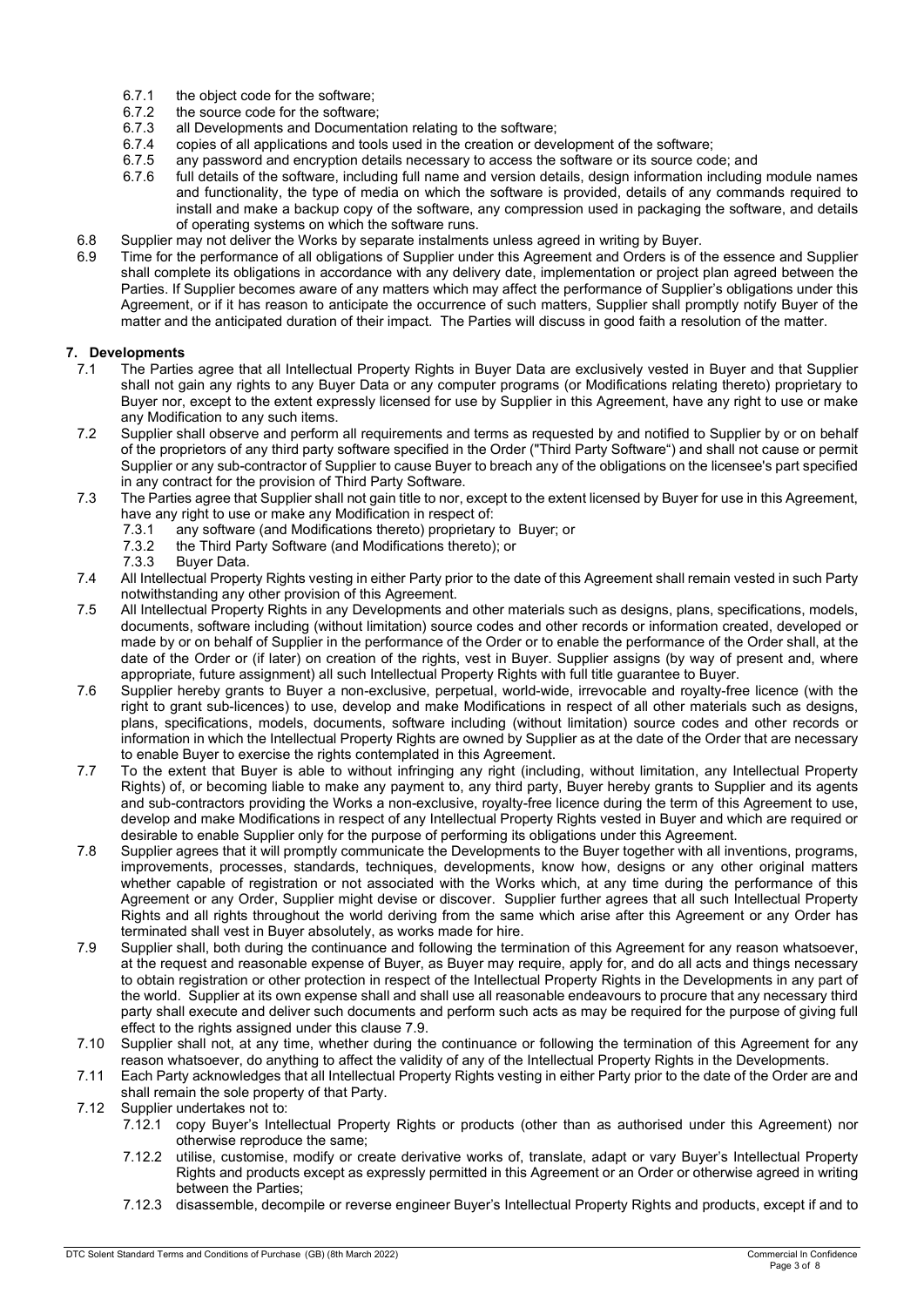- 6.7.1 the object code for the software;<br>6.7.2 the source code for the software
- 6.7.2 the source code for the software;<br>6.7.3 all Developments and Documenta
- 6.7.3 all Developments and Documentation relating to the software;
- copies of all applications and tools used in the creation or development of the software;
- 6.7.5 any password and encryption details necessary to access the software or its source code; and 6.7.6 full details of the software. including full name and version details. design information including
- full details of the software, including full name and version details, design information including module names and functionality, the type of media on which the software is provided, details of any commands required to install and make a backup copy of the software, any compression used in packaging the software, and details of operating systems on which the software runs.
- 6.8 Supplier may not deliver the Works by separate instalments unless agreed in writing by Buyer.
- 6.9 Time for the performance of all obligations of Supplier under this Agreement and Orders is of the essence and Supplier shall complete its obligations in accordance with any delivery date, implementation or project plan agreed between the Parties. If Supplier becomes aware of any matters which may affect the performance of Supplier's obligations under this Agreement, or if it has reason to anticipate the occurrence of such matters, Supplier shall promptly notify Buyer of the matter and the anticipated duration of their impact. The Parties will discuss in good faith a resolution of the matter.

#### 7. Developments

- 7.1 The Parties agree that all Intellectual Property Rights in Buyer Data are exclusively vested in Buyer and that Supplier shall not gain any rights to any Buyer Data or any computer programs (or Modifications relating thereto) proprietary to Buyer nor, except to the extent expressly licensed for use by Supplier in this Agreement, have any right to use or make any Modification to any such items.
- 7.2 Supplier shall observe and perform all requirements and terms as requested by and notified to Supplier by or on behalf of the proprietors of any third party software specified in the Order ("Third Party Software") and shall not cause or permit Supplier or any sub-contractor of Supplier to cause Buyer to breach any of the obligations on the licensee's part specified in any contract for the provision of Third Party Software.
- 7.3 The Parties agree that Supplier shall not gain title to nor, except to the extent licensed by Buyer for use in this Agreement, have any right to use or make any Modification in respect of:
	- 7.3.1 any software (and Modifications thereto) proprietary to Buyer; or
	- 7.3.2 the Third Party Software (and Modifications thereto); or
	- 7.3.3 Buyer Data.
- 7.4 All Intellectual Property Rights vesting in either Party prior to the date of this Agreement shall remain vested in such Party notwithstanding any other provision of this Agreement.
- 7.5 All Intellectual Property Rights in any Developments and other materials such as designs, plans, specifications, models, documents, software including (without limitation) source codes and other records or information created, developed or made by or on behalf of Supplier in the performance of the Order or to enable the performance of the Order shall, at the date of the Order or (if later) on creation of the rights, vest in Buyer. Supplier assigns (by way of present and, where appropriate, future assignment) all such Intellectual Property Rights with full title guarantee to Buyer.
- 7.6 Supplier hereby grants to Buyer a non-exclusive, perpetual, world-wide, irrevocable and royalty-free licence (with the right to grant sub-licences) to use, develop and make Modifications in respect of all other materials such as designs, plans, specifications, models, documents, software including (without limitation) source codes and other records or information in which the Intellectual Property Rights are owned by Supplier as at the date of the Order that are necessary to enable Buyer to exercise the rights contemplated in this Agreement.
- 7.7 To the extent that Buyer is able to without infringing any right (including, without limitation, any Intellectual Property Rights) of, or becoming liable to make any payment to, any third party, Buyer hereby grants to Supplier and its agents and sub-contractors providing the Works a non-exclusive, royalty-free licence during the term of this Agreement to use, develop and make Modifications in respect of any Intellectual Property Rights vested in Buyer and which are required or desirable to enable Supplier only for the purpose of performing its obligations under this Agreement.
- 7.8 Supplier agrees that it will promptly communicate the Developments to the Buyer together with all inventions, programs, improvements, processes, standards, techniques, developments, know how, designs or any other original matters whether capable of registration or not associated with the Works which, at any time during the performance of this Agreement or any Order, Supplier might devise or discover. Supplier further agrees that all such Intellectual Property Rights and all rights throughout the world deriving from the same which arise after this Agreement or any Order has terminated shall vest in Buyer absolutely, as works made for hire.
- 7.9 Supplier shall, both during the continuance and following the termination of this Agreement for any reason whatsoever, at the request and reasonable expense of Buyer, as Buyer may require, apply for, and do all acts and things necessary to obtain registration or other protection in respect of the Intellectual Property Rights in the Developments in any part of the world. Supplier at its own expense shall and shall use all reasonable endeavours to procure that any necessary third party shall execute and deliver such documents and perform such acts as may be required for the purpose of giving full effect to the rights assigned under this clause 7.9.
- 7.10 Supplier shall not, at any time, whether during the continuance or following the termination of this Agreement for any reason whatsoever, do anything to affect the validity of any of the Intellectual Property Rights in the Developments.
- 7.11 Each Party acknowledges that all Intellectual Property Rights vesting in either Party prior to the date of the Order are and shall remain the sole property of that Party.
- 7.12 Supplier undertakes not to:
	- 7.12.1 copy Buyer's Intellectual Property Rights or products (other than as authorised under this Agreement) nor otherwise reproduce the same;
	- 7.12.2 utilise, customise, modify or create derivative works of, translate, adapt or vary Buyer's Intellectual Property Rights and products except as expressly permitted in this Agreement or an Order or otherwise agreed in writing between the Parties;
	- 7.12.3 disassemble, decompile or reverse engineer Buyer's Intellectual Property Rights and products, except if and to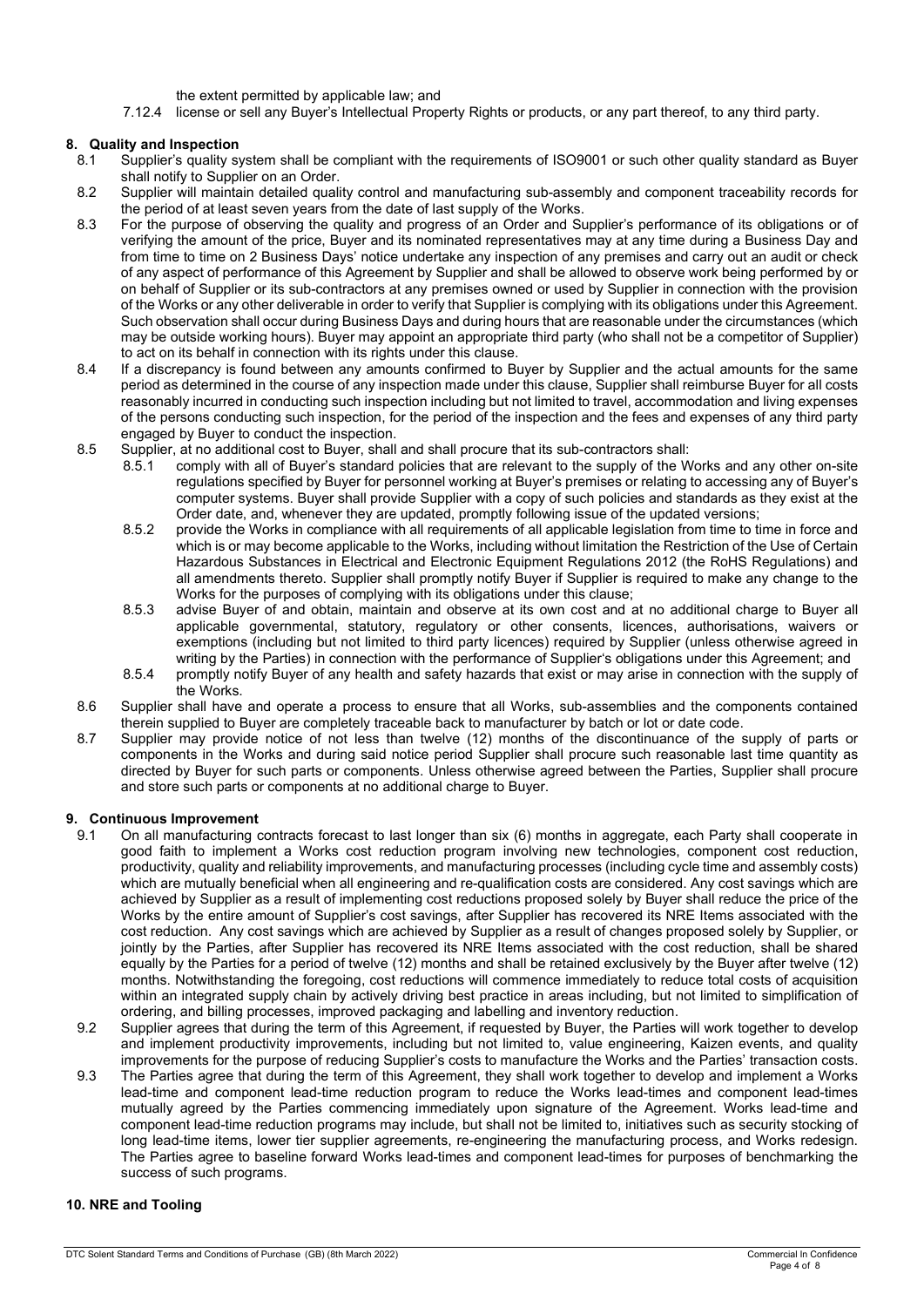the extent permitted by applicable law; and

7.12.4 license or sell any Buyer's Intellectual Property Rights or products, or any part thereof, to any third party.

#### 8. Quality and Inspection

- 8.1 Supplier's quality system shall be compliant with the requirements of ISO9001 or such other quality standard as Buyer shall notify to Supplier on an Order.
- 8.2 Supplier will maintain detailed quality control and manufacturing sub-assembly and component traceability records for the period of at least seven years from the date of last supply of the Works.
- 8.3 For the purpose of observing the quality and progress of an Order and Supplier's performance of its obligations or of verifying the amount of the price, Buyer and its nominated representatives may at any time during a Business Day and from time to time on 2 Business Days' notice undertake any inspection of any premises and carry out an audit or check of any aspect of performance of this Agreement by Supplier and shall be allowed to observe work being performed by or on behalf of Supplier or its sub-contractors at any premises owned or used by Supplier in connection with the provision of the Works or any other deliverable in order to verify that Supplier is complying with its obligations under this Agreement. Such observation shall occur during Business Days and during hours that are reasonable under the circumstances (which may be outside working hours). Buyer may appoint an appropriate third party (who shall not be a competitor of Supplier) to act on its behalf in connection with its rights under this clause.
- 8.4 If a discrepancy is found between any amounts confirmed to Buyer by Supplier and the actual amounts for the same period as determined in the course of any inspection made under this clause, Supplier shall reimburse Buyer for all costs reasonably incurred in conducting such inspection including but not limited to travel, accommodation and living expenses of the persons conducting such inspection, for the period of the inspection and the fees and expenses of any third party engaged by Buyer to conduct the inspection.
- 8.5 Supplier, at no additional cost to Buyer, shall and shall procure that its sub-contractors shall:
	- 8.5.1 comply with all of Buyer's standard policies that are relevant to the supply of the Works and any other on-site regulations specified by Buyer for personnel working at Buyer's premises or relating to accessing any of Buyer's computer systems. Buyer shall provide Supplier with a copy of such policies and standards as they exist at the Order date, and, whenever they are updated, promptly following issue of the updated versions;
	- 8.5.2 provide the Works in compliance with all requirements of all applicable legislation from time to time in force and which is or may become applicable to the Works, including without limitation the Restriction of the Use of Certain Hazardous Substances in Electrical and Electronic Equipment Regulations 2012 (the RoHS Regulations) and all amendments thereto. Supplier shall promptly notify Buyer if Supplier is required to make any change to the Works for the purposes of complying with its obligations under this clause;
	- 8.5.3 advise Buyer of and obtain, maintain and observe at its own cost and at no additional charge to Buyer all applicable governmental, statutory, regulatory or other consents, licences, authorisations, waivers or exemptions (including but not limited to third party licences) required by Supplier (unless otherwise agreed in writing by the Parties) in connection with the performance of Supplier's obligations under this Agreement; and
	- 8.5.4 promptly notify Buyer of any health and safety hazards that exist or may arise in connection with the supply of the Works.
- 8.6 Supplier shall have and operate a process to ensure that all Works, sub-assemblies and the components contained therein supplied to Buyer are completely traceable back to manufacturer by batch or lot or date code.
- 8.7 Supplier may provide notice of not less than twelve (12) months of the discontinuance of the supply of parts or components in the Works and during said notice period Supplier shall procure such reasonable last time quantity as directed by Buyer for such parts or components. Unless otherwise agreed between the Parties, Supplier shall procure and store such parts or components at no additional charge to Buyer.

#### 9. Continuous Improvement

- 9.1 On all manufacturing contracts forecast to last longer than six (6) months in aggregate, each Party shall cooperate in good faith to implement a Works cost reduction program involving new technologies, component cost reduction, productivity, quality and reliability improvements, and manufacturing processes (including cycle time and assembly costs) which are mutually beneficial when all engineering and re-qualification costs are considered. Any cost savings which are achieved by Supplier as a result of implementing cost reductions proposed solely by Buyer shall reduce the price of the Works by the entire amount of Supplier's cost savings, after Supplier has recovered its NRE Items associated with the cost reduction. Any cost savings which are achieved by Supplier as a result of changes proposed solely by Supplier, or jointly by the Parties, after Supplier has recovered its NRE Items associated with the cost reduction, shall be shared equally by the Parties for a period of twelve (12) months and shall be retained exclusively by the Buyer after twelve (12) months. Notwithstanding the foregoing, cost reductions will commence immediately to reduce total costs of acquisition within an integrated supply chain by actively driving best practice in areas including, but not limited to simplification of ordering, and billing processes, improved packaging and labelling and inventory reduction.
- 9.2 Supplier agrees that during the term of this Agreement, if requested by Buyer, the Parties will work together to develop and implement productivity improvements, including but not limited to, value engineering, Kaizen events, and quality improvements for the purpose of reducing Supplier's costs to manufacture the Works and the Parties' transaction costs.
- 9.3 The Parties agree that during the term of this Agreement, they shall work together to develop and implement a Works lead-time and component lead-time reduction program to reduce the Works lead-times and component lead-times mutually agreed by the Parties commencing immediately upon signature of the Agreement. Works lead-time and component lead-time reduction programs may include, but shall not be limited to, initiatives such as security stocking of long lead-time items, lower tier supplier agreements, re-engineering the manufacturing process, and Works redesign. The Parties agree to baseline forward Works lead-times and component lead-times for purposes of benchmarking the success of such programs.

#### 10. NRE and Tooling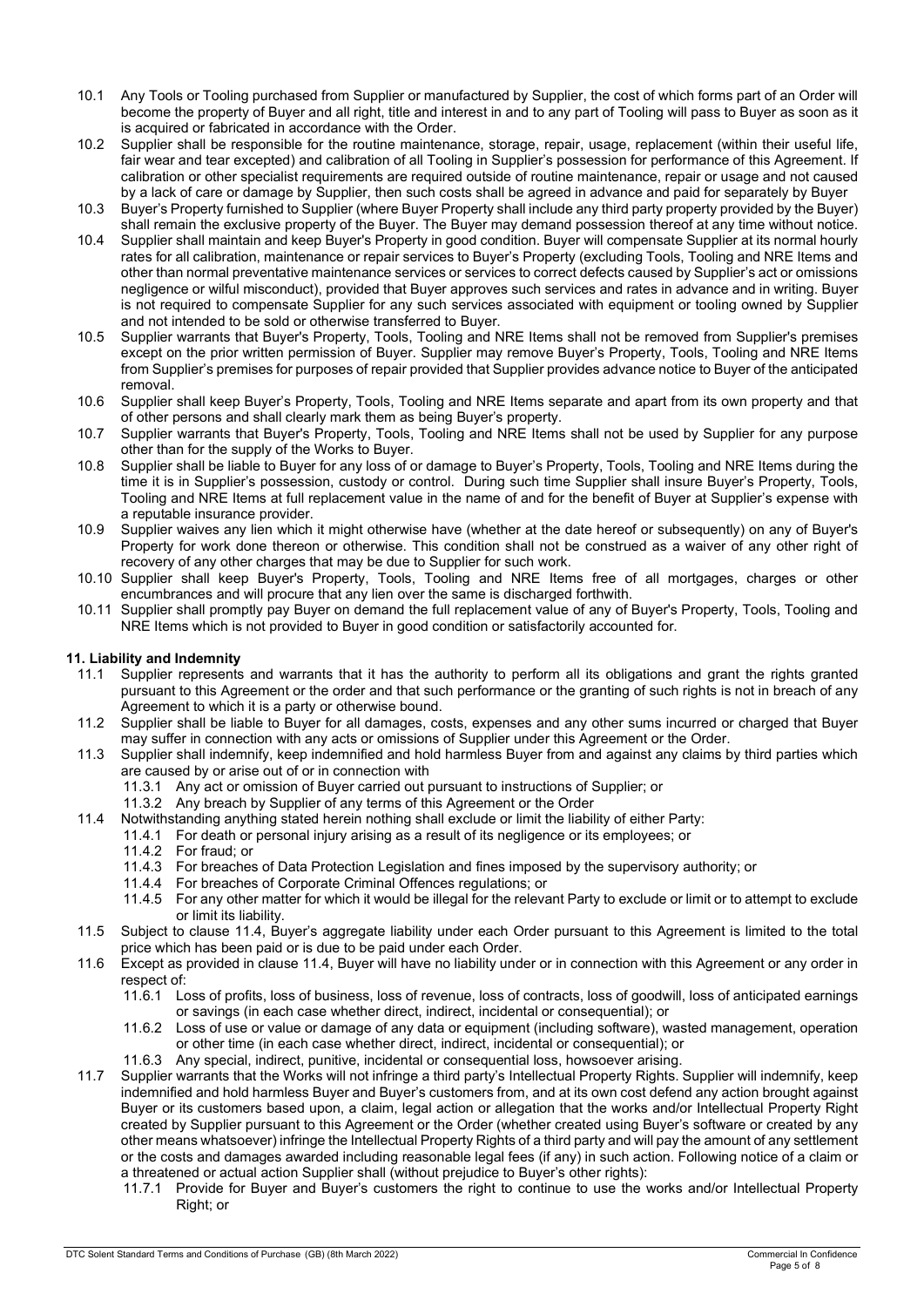- 10.1 Any Tools or Tooling purchased from Supplier or manufactured by Supplier, the cost of which forms part of an Order will become the property of Buyer and all right, title and interest in and to any part of Tooling will pass to Buyer as soon as it is acquired or fabricated in accordance with the Order.
- 10.2 Supplier shall be responsible for the routine maintenance, storage, repair, usage, replacement (within their useful life, fair wear and tear excepted) and calibration of all Tooling in Supplier's possession for performance of this Agreement. If calibration or other specialist requirements are required outside of routine maintenance, repair or usage and not caused by a lack of care or damage by Supplier, then such costs shall be agreed in advance and paid for separately by Buyer
- 10.3 Buyer's Property furnished to Supplier (where Buyer Property shall include any third party property provided by the Buyer) shall remain the exclusive property of the Buyer. The Buyer may demand possession thereof at any time without notice.
- 10.4 Supplier shall maintain and keep Buyer's Property in good condition. Buyer will compensate Supplier at its normal hourly rates for all calibration, maintenance or repair services to Buyer's Property (excluding Tools, Tooling and NRE Items and other than normal preventative maintenance services or services to correct defects caused by Supplier's act or omissions negligence or wilful misconduct), provided that Buyer approves such services and rates in advance and in writing. Buyer is not required to compensate Supplier for any such services associated with equipment or tooling owned by Supplier and not intended to be sold or otherwise transferred to Buyer.
- 10.5 Supplier warrants that Buyer's Property, Tools, Tooling and NRE Items shall not be removed from Supplier's premises except on the prior written permission of Buyer. Supplier may remove Buyer's Property, Tools, Tooling and NRE Items from Supplier's premises for purposes of repair provided that Supplier provides advance notice to Buyer of the anticipated removal.
- 10.6 Supplier shall keep Buyer's Property, Tools, Tooling and NRE Items separate and apart from its own property and that of other persons and shall clearly mark them as being Buyer's property.
- 10.7 Supplier warrants that Buyer's Property, Tools, Tooling and NRE Items shall not be used by Supplier for any purpose other than for the supply of the Works to Buyer.
- 10.8 Supplier shall be liable to Buyer for any loss of or damage to Buyer's Property, Tools, Tooling and NRE Items during the time it is in Supplier's possession, custody or control. During such time Supplier shall insure Buyer's Property, Tools, Tooling and NRE Items at full replacement value in the name of and for the benefit of Buyer at Supplier's expense with a reputable insurance provider.
- 10.9 Supplier waives any lien which it might otherwise have (whether at the date hereof or subsequently) on any of Buyer's Property for work done thereon or otherwise. This condition shall not be construed as a waiver of any other right of recovery of any other charges that may be due to Supplier for such work.
- 10.10 Supplier shall keep Buyer's Property, Tools, Tooling and NRE Items free of all mortgages, charges or other encumbrances and will procure that any lien over the same is discharged forthwith.
- 10.11 Supplier shall promptly pay Buyer on demand the full replacement value of any of Buyer's Property, Tools, Tooling and NRE Items which is not provided to Buyer in good condition or satisfactorily accounted for.

## 11. Liability and Indemnity

- 11.1 Supplier represents and warrants that it has the authority to perform all its obligations and grant the rights granted pursuant to this Agreement or the order and that such performance or the granting of such rights is not in breach of any Agreement to which it is a party or otherwise bound.
- 11.2 Supplier shall be liable to Buyer for all damages, costs, expenses and any other sums incurred or charged that Buyer may suffer in connection with any acts or omissions of Supplier under this Agreement or the Order.
- 11.3 Supplier shall indemnify, keep indemnified and hold harmless Buyer from and against any claims by third parties which are caused by or arise out of or in connection with
	- 11.3.1 Any act or omission of Buyer carried out pursuant to instructions of Supplier; or
	- 11.3.2 Any breach by Supplier of any terms of this Agreement or the Order
- 11.4 Notwithstanding anything stated herein nothing shall exclude or limit the liability of either Party:
	- 11.4.1 For death or personal injury arising as a result of its negligence or its employees; or
		- 11.4.2 For fraud; or
		- 11.4.3 For breaches of Data Protection Legislation and fines imposed by the supervisory authority; or
		- 11.4.4 For breaches of Corporate Criminal Offences regulations; or
		- 11.4.5 For any other matter for which it would be illegal for the relevant Party to exclude or limit or to attempt to exclude or limit its liability.
- 11.5 Subject to clause 11.4, Buyer's aggregate liability under each Order pursuant to this Agreement is limited to the total price which has been paid or is due to be paid under each Order.
- 11.6 Except as provided in clause 11.4, Buyer will have no liability under or in connection with this Agreement or any order in respect of:
	- 11.6.1 Loss of profits, loss of business, loss of revenue, loss of contracts, loss of goodwill, loss of anticipated earnings or savings (in each case whether direct, indirect, incidental or consequential); or
	- 11.6.2 Loss of use or value or damage of any data or equipment (including software), wasted management, operation or other time (in each case whether direct, indirect, incidental or consequential); or
	- 11.6.3 Any special, indirect, punitive, incidental or consequential loss, howsoever arising.
- 11.7 Supplier warrants that the Works will not infringe a third party's Intellectual Property Rights. Supplier will indemnify, keep indemnified and hold harmless Buyer and Buyer's customers from, and at its own cost defend any action brought against Buyer or its customers based upon, a claim, legal action or allegation that the works and/or Intellectual Property Right created by Supplier pursuant to this Agreement or the Order (whether created using Buyer's software or created by any other means whatsoever) infringe the Intellectual Property Rights of a third party and will pay the amount of any settlement or the costs and damages awarded including reasonable legal fees (if any) in such action. Following notice of a claim or a threatened or actual action Supplier shall (without prejudice to Buyer's other rights):
	- 11.7.1 Provide for Buyer and Buyer's customers the right to continue to use the works and/or Intellectual Property Right; or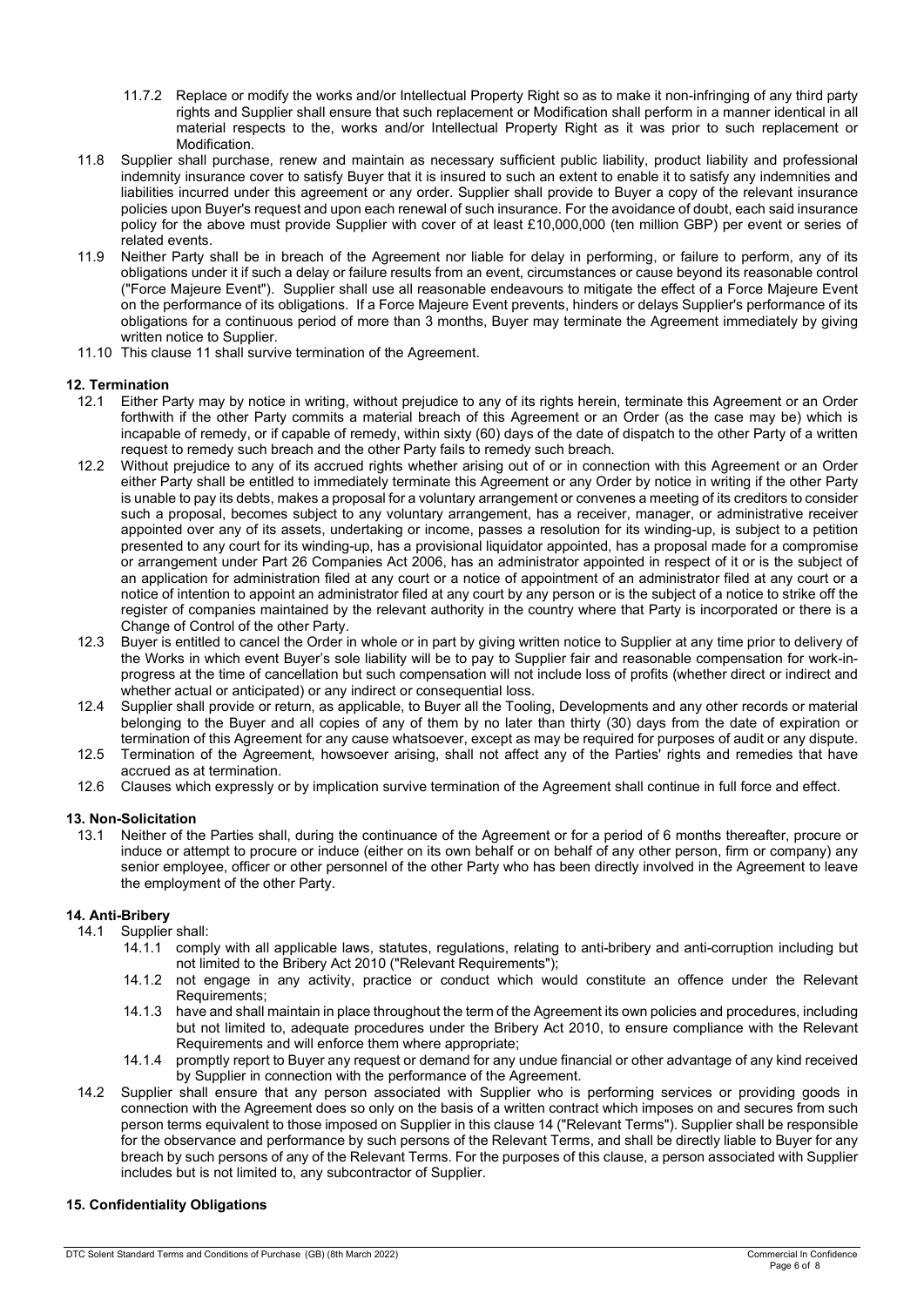- 11.7.2 Replace or modify the works and/or Intellectual Property Right so as to make it non-infringing of any third party rights and Supplier shall ensure that such replacement or Modification shall perform in a manner identical in all material respects to the, works and/or Intellectual Property Right as it was prior to such replacement or **Modification**
- 11.8 Supplier shall purchase, renew and maintain as necessary sufficient public liability, product liability and professional indemnity insurance cover to satisfy Buyer that it is insured to such an extent to enable it to satisfy any indemnities and liabilities incurred under this agreement or any order. Supplier shall provide to Buyer a copy of the relevant insurance policies upon Buyer's request and upon each renewal of such insurance. For the avoidance of doubt, each said insurance policy for the above must provide Supplier with cover of at least £10,000,000 (ten million GBP) per event or series of related events.
- 11.9 Neither Party shall be in breach of the Agreement nor liable for delay in performing, or failure to perform, any of its obligations under it if such a delay or failure results from an event, circumstances or cause beyond its reasonable control ("Force Majeure Event"). Supplier shall use all reasonable endeavours to mitigate the effect of a Force Majeure Event on the performance of its obligations. If a Force Majeure Event prevents, hinders or delays Supplier's performance of its obligations for a continuous period of more than 3 months, Buyer may terminate the Agreement immediately by giving written notice to Supplier.
- 11.10 This clause 11 shall survive termination of the Agreement.

## 12. Termination

- 12.1 Either Party may by notice in writing, without prejudice to any of its rights herein, terminate this Agreement or an Order forthwith if the other Party commits a material breach of this Agreement or an Order (as the case may be) which is incapable of remedy, or if capable of remedy, within sixty (60) days of the date of dispatch to the other Party of a written request to remedy such breach and the other Party fails to remedy such breach.
- 12.2 Without prejudice to any of its accrued rights whether arising out of or in connection with this Agreement or an Order either Party shall be entitled to immediately terminate this Agreement or any Order by notice in writing if the other Party is unable to pay its debts, makes a proposal for a voluntary arrangement or convenes a meeting of its creditors to consider such a proposal, becomes subject to any voluntary arrangement, has a receiver, manager, or administrative receiver appointed over any of its assets, undertaking or income, passes a resolution for its winding-up, is subject to a petition presented to any court for its winding-up, has a provisional liquidator appointed, has a proposal made for a compromise or arrangement under Part 26 Companies Act 2006, has an administrator appointed in respect of it or is the subject of an application for administration filed at any court or a notice of appointment of an administrator filed at any court or a notice of intention to appoint an administrator filed at any court by any person or is the subject of a notice to strike off the register of companies maintained by the relevant authority in the country where that Party is incorporated or there is a Change of Control of the other Party.
- 12.3 Buyer is entitled to cancel the Order in whole or in part by giving written notice to Supplier at any time prior to delivery of the Works in which event Buyer's sole liability will be to pay to Supplier fair and reasonable compensation for work-inprogress at the time of cancellation but such compensation will not include loss of profits (whether direct or indirect and whether actual or anticipated) or any indirect or consequential loss.
- 12.4 Supplier shall provide or return, as applicable, to Buyer all the Tooling, Developments and any other records or material belonging to the Buyer and all copies of any of them by no later than thirty (30) days from the date of expiration or termination of this Agreement for any cause whatsoever, except as may be required for purposes of audit or any dispute.
- 12.5 Termination of the Agreement, howsoever arising, shall not affect any of the Parties' rights and remedies that have accrued as at termination.
- 12.6 Clauses which expressly or by implication survive termination of the Agreement shall continue in full force and effect.

## 13. Non-Solicitation

13.1 Neither of the Parties shall, during the continuance of the Agreement or for a period of 6 months thereafter, procure or induce or attempt to procure or induce (either on its own behalf or on behalf of any other person, firm or company) any senior employee, officer or other personnel of the other Party who has been directly involved in the Agreement to leave the employment of the other Party.

## 14. Anti-Bribery

- 14.1 Supplier shall:
	- 14.1.1 comply with all applicable laws, statutes, regulations, relating to anti-bribery and anti-corruption including but not limited to the Bribery Act 2010 ("Relevant Requirements");
	- 14.1.2 not engage in any activity, practice or conduct which would constitute an offence under the Relevant Requirements;
	- 14.1.3 have and shall maintain in place throughout the term of the Agreement its own policies and procedures, including but not limited to, adequate procedures under the Bribery Act 2010, to ensure compliance with the Relevant Requirements and will enforce them where appropriate;
	- 14.1.4 promptly report to Buyer any request or demand for any undue financial or other advantage of any kind received by Supplier in connection with the performance of the Agreement.
- 14.2 Supplier shall ensure that any person associated with Supplier who is performing services or providing goods in connection with the Agreement does so only on the basis of a written contract which imposes on and secures from such person terms equivalent to those imposed on Supplier in this clause 14 ("Relevant Terms"). Supplier shall be responsible for the observance and performance by such persons of the Relevant Terms, and shall be directly liable to Buyer for any breach by such persons of any of the Relevant Terms. For the purposes of this clause, a person associated with Supplier includes but is not limited to, any subcontractor of Supplier.

## 15. Confidentiality Obligations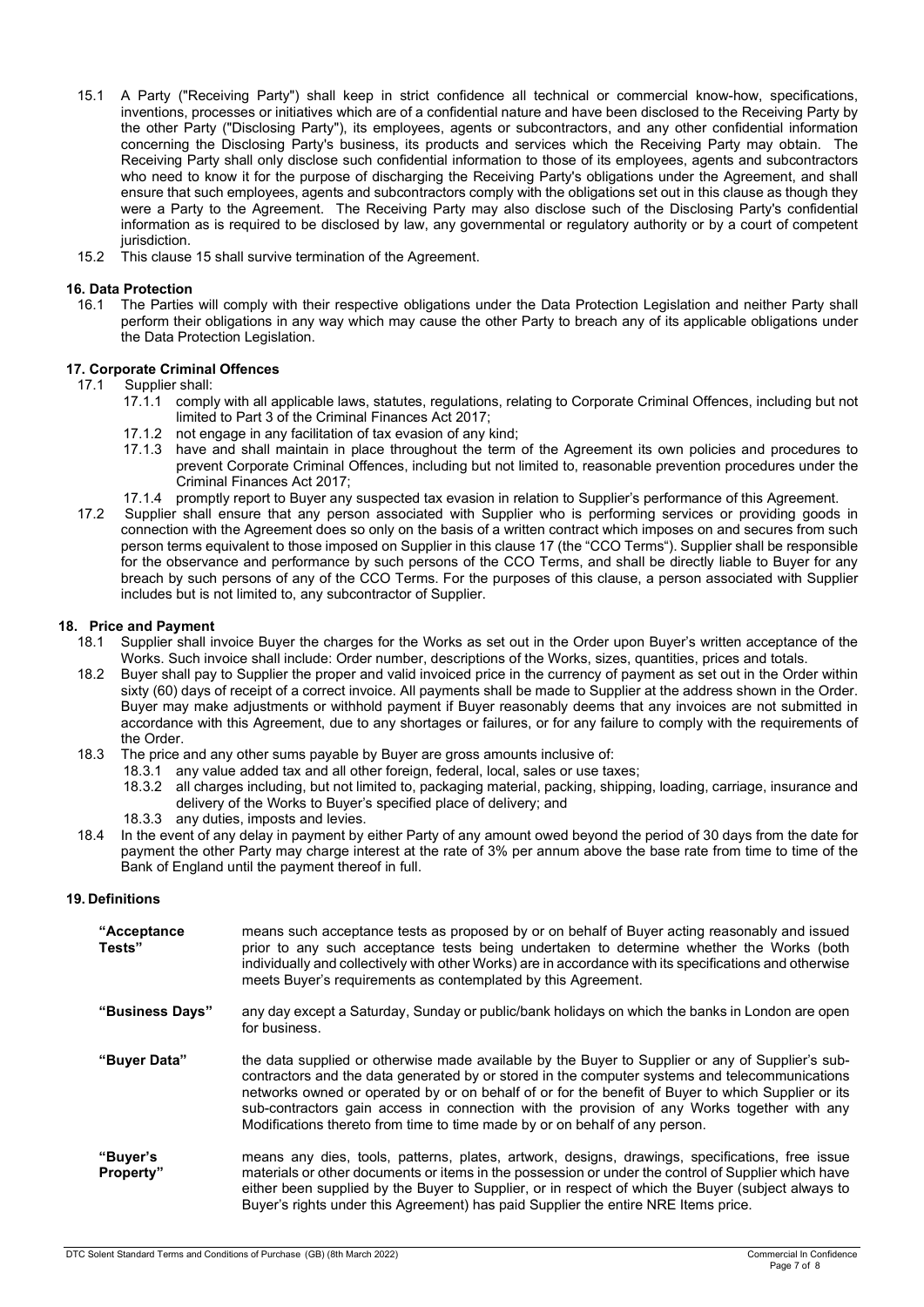- 15.1 A Party ("Receiving Party") shall keep in strict confidence all technical or commercial know-how, specifications, inventions, processes or initiatives which are of a confidential nature and have been disclosed to the Receiving Party by the other Party ("Disclosing Party"), its employees, agents or subcontractors, and any other confidential information concerning the Disclosing Party's business, its products and services which the Receiving Party may obtain. The Receiving Party shall only disclose such confidential information to those of its employees, agents and subcontractors who need to know it for the purpose of discharging the Receiving Party's obligations under the Agreement, and shall ensure that such employees, agents and subcontractors comply with the obligations set out in this clause as though they were a Party to the Agreement. The Receiving Party may also disclose such of the Disclosing Party's confidential information as is required to be disclosed by law, any governmental or regulatory authority or by a court of competent jurisdiction.
- 15.2 This clause 15 shall survive termination of the Agreement.

#### 16. Data Protection

16.1 The Parties will comply with their respective obligations under the Data Protection Legislation and neither Party shall perform their obligations in any way which may cause the other Party to breach any of its applicable obligations under the Data Protection Legislation.

# 17. Corporate Criminal Offences<br>17.1 Supplier shall:

Supplier shall:

- 17.1.1 comply with all applicable laws, statutes, regulations, relating to Corporate Criminal Offences, including but not limited to Part 3 of the Criminal Finances Act 2017;
- 17.1.2 not engage in any facilitation of tax evasion of any kind;<br>17.1.3 have and shall maintain in place throughout the term
- have and shall maintain in place throughout the term of the Agreement its own policies and procedures to prevent Corporate Criminal Offences, including but not limited to, reasonable prevention procedures under the Criminal Finances Act 2017;
- 17.1.4 promptly report to Buyer any suspected tax evasion in relation to Supplier's performance of this Agreement.
- 17.2 Supplier shall ensure that any person associated with Supplier who is performing services or providing goods in connection with the Agreement does so only on the basis of a written contract which imposes on and secures from such person terms equivalent to those imposed on Supplier in this clause 17 (the "CCO Terms"). Supplier shall be responsible for the observance and performance by such persons of the CCO Terms, and shall be directly liable to Buyer for any breach by such persons of any of the CCO Terms. For the purposes of this clause, a person associated with Supplier includes but is not limited to, any subcontractor of Supplier.

#### 18. Price and Payment

- 18.1 Supplier shall invoice Buyer the charges for the Works as set out in the Order upon Buyer's written acceptance of the Works. Such invoice shall include: Order number, descriptions of the Works, sizes, quantities, prices and totals.
- 18.2 Buyer shall pay to Supplier the proper and valid invoiced price in the currency of payment as set out in the Order within sixty (60) days of receipt of a correct invoice. All payments shall be made to Supplier at the address shown in the Order. Buyer may make adjustments or withhold payment if Buyer reasonably deems that any invoices are not submitted in accordance with this Agreement, due to any shortages or failures, or for any failure to comply with the requirements of the Order.
- 18.3 The price and any other sums payable by Buyer are gross amounts inclusive of:
	- 18.3.1 any value added tax and all other foreign, federal, local, sales or use taxes;
		- 18.3.2 all charges including, but not limited to, packaging material, packing, shipping, loading, carriage, insurance and delivery of the Works to Buyer's specified place of delivery; and
		- 18.3.3 any duties, imposts and levies.
- 18.4 In the event of any delay in payment by either Party of any amount owed beyond the period of 30 days from the date for payment the other Party may charge interest at the rate of 3% per annum above the base rate from time to time of the Bank of England until the payment thereof in full.

#### 19. Definitions

| "Acceptance"<br>Tests" | means such acceptance tests as proposed by or on behalf of Buyer acting reasonably and issued<br>prior to any such acceptance tests being undertaken to determine whether the Works (both<br>individually and collectively with other Works) are in accordance with its specifications and otherwise<br>meets Buyer's requirements as contemplated by this Agreement.                                                                                                                  |
|------------------------|----------------------------------------------------------------------------------------------------------------------------------------------------------------------------------------------------------------------------------------------------------------------------------------------------------------------------------------------------------------------------------------------------------------------------------------------------------------------------------------|
| "Business Days"        | any day except a Saturday, Sunday or public/bank holidays on which the banks in London are open<br>for business.                                                                                                                                                                                                                                                                                                                                                                       |
| "Buyer Data"           | the data supplied or otherwise made available by the Buyer to Supplier or any of Supplier's sub-<br>contractors and the data generated by or stored in the computer systems and telecommunications<br>networks owned or operated by or on behalf of or for the benefit of Buyer to which Supplier or its<br>sub-contractors gain access in connection with the provision of any Works together with any<br>Modifications thereto from time to time made by or on behalf of any person. |
| "Buyer's<br>Property"  | means any dies, tools, patterns, plates, artwork, designs, drawings, specifications, free issue<br>materials or other documents or items in the possession or under the control of Supplier which have<br>either been supplied by the Buyer to Supplier, or in respect of which the Buyer (subject always to<br>Buyer's rights under this Agreement) has paid Supplier the entire NRE Items price.                                                                                     |